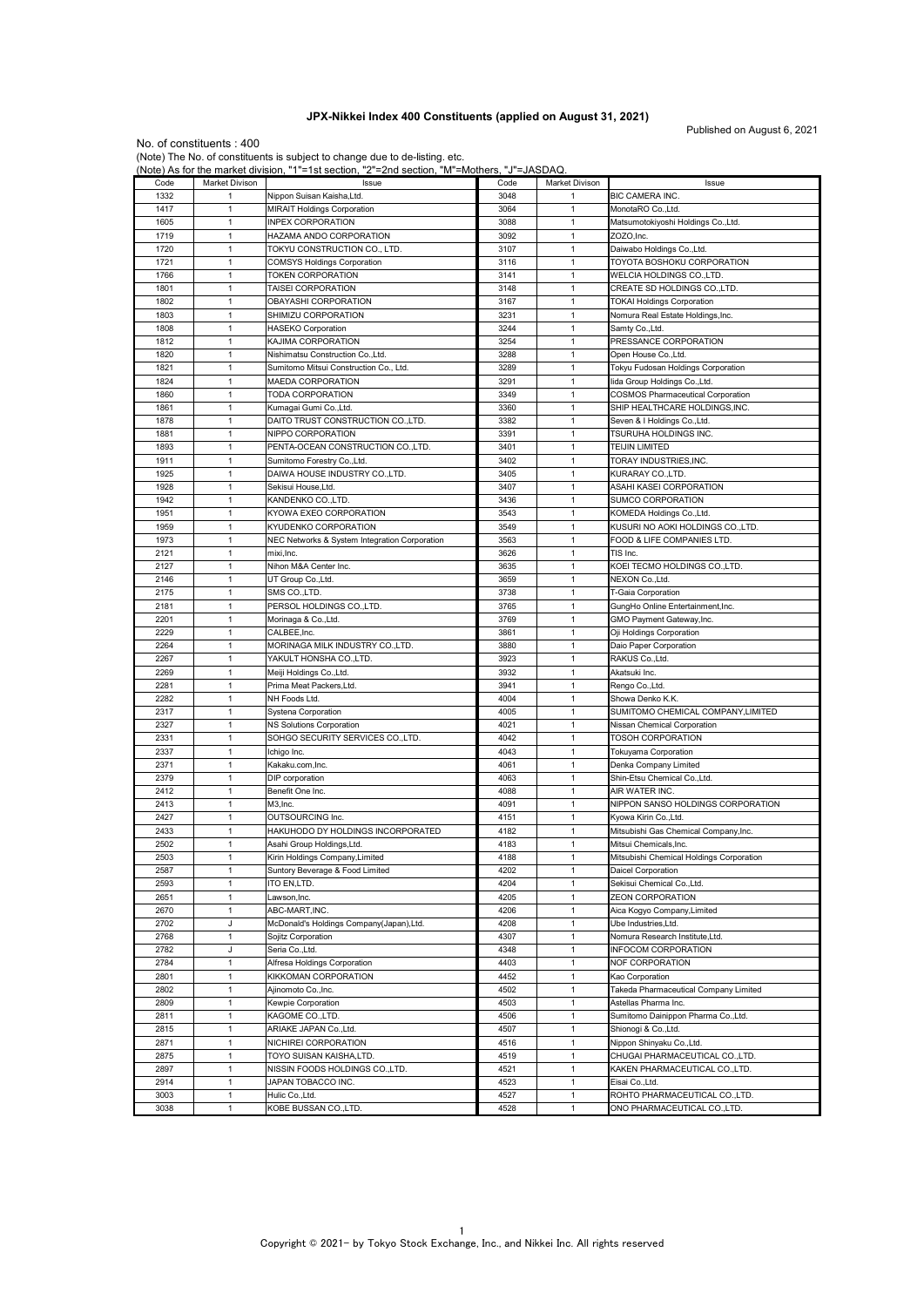## **JPX-Nikkei Index 400 Constituents (applied on August 31, 2021)**

Published on August 6, 2021

No. of constituents : 400 (Note) The No. of constituents is subject to change due to de-listing. etc.

|      |                       | (Note) As for the market division, "1"=1st section, "2"=2nd section, "M"=Mothers, "J"=JASDAQ. |      |                |                                          |
|------|-----------------------|-----------------------------------------------------------------------------------------------|------|----------------|------------------------------------------|
| Code | <b>Market Divison</b> | Issue                                                                                         | Code | Market Divison | Issue                                    |
| 1332 | $\mathbf{1}$          | Nippon Suisan Kaisha, Ltd.                                                                    | 3048 | 1              | BIC CAMERA INC.                          |
| 1417 | $\mathbf{1}$          | <b>MIRAIT Holdings Corporation</b>                                                            | 3064 | 1              | MonotaRO Co.,Ltd.                        |
| 1605 | $\mathbf{1}$          | <b>INPEX CORPORATION</b>                                                                      | 3088 | 1              | Matsumotokiyoshi Holdings Co.,Ltd.       |
| 1719 | $\mathbf{1}$          | HAZAMA ANDO CORPORATION                                                                       | 3092 | $\mathbf{1}$   | ZOZO, Inc.                               |
| 1720 | $\mathbf{1}$          | TOKYU CONSTRUCTION CO., LTD.                                                                  | 3107 | $\mathbf{1}$   | Daiwabo Holdings Co., Ltd.               |
| 1721 | $\mathbf{1}$          | <b>COMSYS Holdings Corporation</b>                                                            | 3116 | $\mathbf{1}$   | TOYOTA BOSHOKU CORPORATION               |
| 1766 | $\mathbf{1}$          | TOKEN CORPORATION                                                                             | 3141 | 1              | WELCIA HOLDINGS CO.,LTD.                 |
| 1801 | $\mathbf{1}$          | TAISEI CORPORATION                                                                            | 3148 | $\mathbf{1}$   | CREATE SD HOLDINGS CO., LTD.             |
|      |                       |                                                                                               |      |                |                                          |
| 1802 | $\mathbf{1}$          | OBAYASHI CORPORATION                                                                          | 3167 | 1              | <b>TOKAI Holdings Corporation</b>        |
| 1803 | $\mathbf{1}$          | SHIMIZU CORPORATION                                                                           | 3231 | $\mathbf{1}$   | Nomura Real Estate Holdings, Inc.        |
| 1808 | $\mathbf{1}$          | <b>HASEKO Corporation</b>                                                                     | 3244 | $\mathbf{1}$   | Samty Co., Ltd.                          |
| 1812 | $\mathbf{1}$          | KAJIMA CORPORATION                                                                            | 3254 | $\mathbf{1}$   | PRESSANCE CORPORATION                    |
| 1820 | $\mathbf{1}$          | Nishimatsu Construction Co., Ltd.                                                             | 3288 | $\mathbf{1}$   | Open House Co., Ltd.                     |
| 1821 | $\mathbf{1}$          | Sumitomo Mitsui Construction Co., Ltd.                                                        | 3289 | 1              | Tokyu Fudosan Holdings Corporation       |
| 1824 | 1                     | <b>MAEDA CORPORATION</b>                                                                      | 3291 | 1              | lida Group Holdings Co.,Ltd.             |
| 1860 | $\mathbf{1}$          | TODA CORPORATION                                                                              | 3349 | $\mathbf{1}$   | COSMOS Pharmaceutical Corporation        |
| 1861 | $\mathbf{1}$          | Kumagai Gumi Co., Ltd.                                                                        | 3360 | $\mathbf{1}$   | SHIP HEALTHCARE HOLDINGS, INC.           |
| 1878 | $\mathbf{1}$          | DAITO TRUST CONSTRUCTION CO.,LTD.                                                             | 3382 | $\mathbf{1}$   | Seven & I Holdings Co., Ltd.             |
| 1881 | $\mathbf{1}$          | NIPPO CORPORATION                                                                             | 3391 | $\mathbf{1}$   | TSURUHA HOLDINGS INC.                    |
| 1893 | $\mathbf{1}$          | PENTA-OCEAN CONSTRUCTION CO.,LTD.                                                             | 3401 | $\mathbf{1}$   | TEIJIN LIMITED                           |
| 1911 | $\mathbf{1}$          | Sumitomo Forestry Co., Ltd.                                                                   | 3402 | $\mathbf{1}$   | TORAY INDUSTRIES,INC.                    |
| 1925 | $\mathbf{1}$          | DAIWA HOUSE INDUSTRY CO.,LTD.                                                                 | 3405 | 1              | KURARAY CO.,LTD.                         |
|      |                       |                                                                                               |      |                |                                          |
| 1928 | $\mathbf{1}$          | Sekisui House, Ltd.                                                                           | 3407 | $\mathbf{1}$   | ASAHI KASEI CORPORATION                  |
| 1942 | $\mathbf{1}$          | KANDENKO CO.,LTD.                                                                             | 3436 | $\mathbf{1}$   | SUMCO CORPORATION                        |
| 1951 | $\mathbf{1}$          | KYOWA EXEO CORPORATION                                                                        | 3543 | $\mathbf{1}$   | KOMEDA Holdings Co., Ltd.                |
| 1959 | $\mathbf{1}$          | KYUDENKO CORPORATION                                                                          | 3549 | 1              | KUSURI NO AOKI HOLDINGS CO.,LTD.         |
| 1973 | $\mathbf{1}$          | NEC Networks & System Integration Corporation                                                 | 3563 | $\mathbf{1}$   | FOOD & LIFE COMPANIES LTD.               |
| 2121 | $\mathbf{1}$          | mixi, Inc.                                                                                    | 3626 | 1              | TIS Inc.                                 |
| 2127 | $\mathbf{1}$          | Nihon M&A Center Inc.                                                                         | 3635 | $\mathbf{1}$   | KOEI TECMO HOLDINGS CO.,LTD.             |
| 2146 | $\mathbf{1}$          | UT Group Co., Ltd.                                                                            | 3659 | $\mathbf{1}$   | NEXON Co., Ltd.                          |
| 2175 | $\mathbf{1}$          | SMS CO.,LTD.                                                                                  | 3738 | $\mathbf{1}$   | T-Gaia Corporation                       |
| 2181 | $\mathbf{1}$          | PERSOL HOLDINGS CO., LTD.                                                                     | 3765 | $\mathbf{1}$   | GungHo Online Entertainment, Inc.        |
| 2201 | $\mathbf{1}$          | Morinaga & Co., Ltd.                                                                          | 3769 | 1              | GMO Payment Gateway, Inc.                |
| 2229 | 1                     | CALBEE, Inc.                                                                                  | 3861 | $\mathbf{1}$   | Oji Holdings Corporation                 |
| 2264 | $\mathbf{1}$          | MORINAGA MILK INDUSTRY CO., LTD.                                                              | 3880 | $\mathbf{1}$   | Daio Paper Corporation                   |
|      |                       |                                                                                               |      |                |                                          |
| 2267 | $\mathbf{1}$          | YAKULT HONSHA CO.,LTD.                                                                        | 3923 | 1              | RAKUS Co., Ltd.                          |
| 2269 | $\mathbf{1}$          | Meiji Holdings Co., Ltd.                                                                      | 3932 | $\mathbf{1}$   | Akatsuki Inc.                            |
| 2281 | $\mathbf{1}$          | Prima Meat Packers, Ltd.                                                                      | 3941 | 1              | Rengo Co., Ltd.                          |
| 2282 | $\mathbf{1}$          | NH Foods Ltd.                                                                                 | 4004 | $\mathbf{1}$   | Showa Denko K.K.                         |
| 2317 | $\mathbf{1}$          | <b>Systena Corporation</b>                                                                    | 4005 | 1              | SUMITOMO CHEMICAL COMPANY,LIMITED        |
| 2327 | $\mathbf{1}$          | <b>NS Solutions Corporation</b>                                                               | 4021 | $\mathbf{1}$   | Nissan Chemical Corporation              |
| 2331 | $\mathbf{1}$          | SOHGO SECURITY SERVICES CO.,LTD.                                                              | 4042 | $\mathbf{1}$   | TOSOH CORPORATION                        |
| 2337 | $\mathbf{1}$          | Ichigo Inc.                                                                                   | 4043 | $\mathbf{1}$   | <b>Tokuyama Corporation</b>              |
| 2371 | $\mathbf{1}$          | Kakaku.com, Inc.                                                                              | 4061 | 1              | Denka Company Limited                    |
| 2379 | $\mathbf{1}$          | DIP corporation                                                                               | 4063 | 1              | Shin-Etsu Chemical Co., Ltd.             |
| 2412 | $\mathbf{1}$          | Benefit One Inc.                                                                              | 4088 | $\mathbf{1}$   | AIR WATER INC.                           |
| 2413 | $\mathbf{1}$          | M3, Inc.                                                                                      | 4091 | 1              | NIPPON SANSO HOLDINGS CORPORATION        |
| 2427 | $\mathbf{1}$          | OUTSOURCING Inc.                                                                              | 4151 | $\mathbf{1}$   | Kyowa Kirin Co., Ltd.                    |
| 2433 | $\mathbf{1}$          | HAKUHODO DY HOLDINGS INCORPORATED                                                             | 4182 | $\mathbf{1}$   | Mitsubishi Gas Chemical Company, Inc.    |
| 2502 | $\mathbf{1}$          | Asahi Group Holdings, Ltd.                                                                    | 4183 | $\mathbf{1}$   | Mitsui Chemicals.Inc.                    |
| 2503 | $\mathbf{1}$          | Kirin Holdings Company, Limited                                                               | 4188 | 1              | Mitsubishi Chemical Holdings Corporation |
|      |                       |                                                                                               |      |                |                                          |
| 2587 | $\mathbf{1}$          | Suntory Beverage & Food Limited                                                               | 4202 | $\mathbf{1}$   | Daicel Corporation                       |
| 2593 | $\mathbf{1}$          | ITO EN,LTD.                                                                                   | 4204 | 1              | Sekisui Chemical Co.,Ltd.                |
| 2651 | $\mathbf{1}$          | Lawson, Inc.                                                                                  | 4205 | $\mathbf{1}$   | <b>ZEON CORPORATION</b>                  |
| 2670 | $\mathbf{1}$          | ABC-MART, INC.                                                                                | 4206 | $\mathbf{1}$   | Aica Kogyo Company, Limited              |
| 2702 | J                     | McDonald's Holdings Company(Japan), Ltd.                                                      | 4208 | $\mathbf{1}$   | Ube Industries.Ltd.                      |
| 2768 | $\mathbf{1}$          | Sojitz Corporation                                                                            | 4307 | $\mathbf{1}$   | Nomura Research Institute,Ltd.           |
| 2782 | J                     | Seria Co., Ltd.                                                                               | 4348 | $\mathbf{1}$   | INFOCOM CORPORATION                      |
| 2784 | 1                     | Alfresa Holdings Corporation                                                                  | 4403 | $\mathbf{1}$   | NOF CORPORATION                          |
| 2801 | $\mathbf{1}$          | KIKKOMAN CORPORATION                                                                          | 4452 | $\mathbf{1}$   | Kao Corporation                          |
| 2802 | $\mathbf{1}$          | Ajinomoto Co., Inc.                                                                           | 4502 | $\mathbf{1}$   | Takeda Pharmaceutical Company Limited    |
| 2809 | $\mathbf{1}$          | Kewpie Corporation                                                                            | 4503 | $\mathbf{1}$   | Astellas Pharma Inc.                     |
| 2811 | $\mathbf{1}$          | KAGOME CO., LTD.                                                                              | 4506 | $\mathbf{1}$   | Sumitomo Dainippon Pharma Co., Ltd.      |
|      |                       |                                                                                               |      |                |                                          |
| 2815 | $\mathbf{1}$          | ARIAKE JAPAN Co., Ltd.                                                                        | 4507 | $\mathbf{1}$   | Shionogi & Co., Ltd.                     |
| 2871 | $\mathbf{1}$          | NICHIREI CORPORATION                                                                          | 4516 | $\mathbf{1}$   | Nippon Shinyaku Co.,Ltd.                 |
| 2875 | $\mathbf{1}$          | TOYO SUISAN KAISHA.LTD.                                                                       | 4519 | $\mathbf{1}$   | CHUGAI PHARMACEUTICAL CO.,LTD.           |
| 2897 | $\mathbf{1}$          | NISSIN FOODS HOLDINGS CO.,LTD.                                                                | 4521 | $\mathbf{1}$   | KAKEN PHARMACEUTICAL CO.,LTD.            |
| 2914 | $\mathbf{1}$          | JAPAN TOBACCO INC.                                                                            | 4523 | $\mathbf{1}$   | Eisai Co.,Ltd.                           |
| 3003 | $\mathbf{1}$          | Hulic Co., Ltd.                                                                               | 4527 | $\mathbf{1}$   | ROHTO PHARMACEUTICAL CO.,LTD.            |
| 3038 | $\mathbf{1}$          | KOBE BUSSAN CO., LTD.                                                                         | 4528 | $\mathbf{1}$   | ONO PHARMACEUTICAL CO., LTD.             |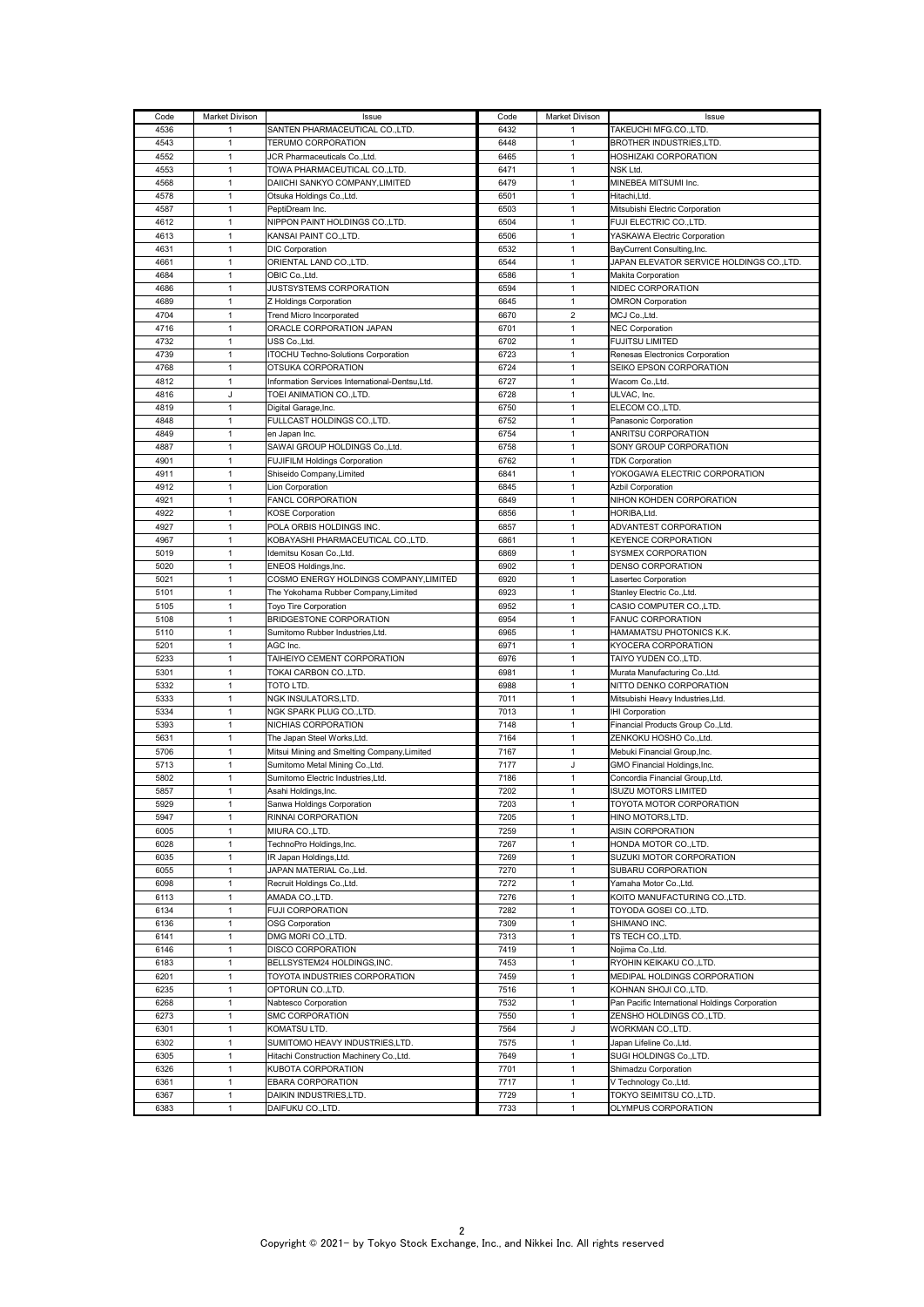| Code | Market Divison | Issue                                           | Code | Market Divison | Issue                                          |
|------|----------------|-------------------------------------------------|------|----------------|------------------------------------------------|
| 4536 | -1             | SANTEN PHARMACEUTICAL CO., LTD.                 | 6432 | 1              | TAKEUCHI MFG.CO.,LTD                           |
| 4543 | 1              | TERUMO CORPORATION                              | 6448 | $\mathbf{1}$   | BROTHER INDUSTRIES,LTD.                        |
| 4552 | 1              | JCR Pharmaceuticals Co., Ltd.                   | 6465 | 1              | HOSHIZAKI CORPORATION                          |
| 4553 | $\mathbf{1}$   | TOWA PHARMACEUTICAL CO.,LTD.                    | 6471 | $\mathbf{1}$   | NSK Ltd.                                       |
| 4568 | 1              | DAIICHI SANKYO COMPANY, LIMITED                 | 6479 | $\mathbf{1}$   | MINEBEA MITSUMI Inc.                           |
| 4578 | $\mathbf{1}$   | Otsuka Holdings Co., Ltd.                       | 6501 | $\mathbf{1}$   | Hitachi.Ltd.                                   |
|      |                |                                                 |      |                |                                                |
| 4587 | 1              | PeptiDream Inc.                                 | 6503 | $\mathbf{1}$   | Mitsubishi Electric Corporation                |
| 4612 | 1              | NIPPON PAINT HOLDINGS CO., LTD.                 | 6504 | $\mathbf{1}$   | FUJI ELECTRIC CO.,LTD.                         |
| 4613 | $\mathbf{1}$   | KANSAI PAINT CO., LTD.                          | 6506 | 1              | YASKAWA Electric Corporation                   |
| 4631 | $\mathbf{1}$   | <b>DIC Corporation</b>                          | 6532 | $\mathbf{1}$   | BayCurrent Consulting, Inc.                    |
| 4661 | $\mathbf{1}$   | ORIENTAL LAND CO., LTD.                         | 6544 | $\mathbf{1}$   | JAPAN ELEVATOR SERVICE HOLDINGS CO.,LTD.       |
| 4684 | 1              | OBIC Co., Ltd.                                  | 6586 | $\mathbf{1}$   | Makita Corporation                             |
| 4686 | 1              | JUSTSYSTEMS CORPORATION                         | 6594 | $\mathbf{1}$   | NIDEC CORPORATION                              |
| 4689 | 1              | Z Holdings Corporation                          | 6645 | $\mathbf{1}$   | <b>OMRON Corporation</b>                       |
| 4704 | 1              | <b>Trend Micro Incorporated</b>                 | 6670 | $\overline{2}$ | MCJ Co.,Ltd.                                   |
| 4716 | 1              | ORACLE CORPORATION JAPAN                        | 6701 | $\mathbf{1}$   | <b>NEC Corporation</b>                         |
| 4732 | $\mathbf{1}$   | USS Co.,Ltd.                                    | 6702 | $\mathbf{1}$   | <b>FUJITSU LIMITED</b>                         |
| 4739 | $\mathbf{1}$   | ITOCHU Techno-Solutions Corporation             | 6723 | $\mathbf{1}$   | Renesas Electronics Corporation                |
| 4768 | 1              | OTSUKA CORPORATION                              | 6724 | $\mathbf{1}$   | SEIKO EPSON CORPORATION                        |
|      |                |                                                 |      |                |                                                |
| 4812 | 1              | Information Services International-Dentsu, Ltd. | 6727 | $\mathbf{1}$   | Wacom Co.,Ltd.                                 |
| 4816 | J              | TOEI ANIMATION CO., LTD.                        | 6728 | $\mathbf{1}$   | ULVAC, Inc.                                    |
| 4819 | 1              | Digital Garage, Inc.                            | 6750 | 1              | ELECOM CO.,LTD.                                |
| 4848 | $\mathbf{1}$   | FULLCAST HOLDINGS CO., LTD.                     | 6752 | $\mathbf{1}$   | Panasonic Corporation                          |
| 4849 | 1              | en Japan Inc.                                   | 6754 | $\mathbf{1}$   | ANRITSU CORPORATION                            |
| 4887 | $\mathbf{1}$   | SAWAI GROUP HOLDINGS Co.,Ltd.                   | 6758 | $\mathbf{1}$   | SONY GROUP CORPORATION                         |
| 4901 | 1              | <b>FUJIFILM Holdings Corporation</b>            | 6762 | $\mathbf{1}$   | <b>TDK Corporation</b>                         |
| 4911 | 1              | Shiseido Company, Limited                       | 6841 | $\mathbf{1}$   | YOKOGAWA ELECTRIC CORPORATION                  |
| 4912 | 1              | Lion Corporation                                | 6845 | $\mathbf{1}$   | <b>Azbil Corporation</b>                       |
| 4921 | $\mathbf{1}$   | FANCL CORPORATION                               | 6849 | $\mathbf{1}$   | NIHON KOHDEN CORPORATION                       |
| 4922 | 1              | <b>KOSE Corporation</b>                         | 6856 | $\mathbf{1}$   | HORIBA,Ltd.                                    |
|      |                | POLA ORBIS HOLDINGS INC.                        |      |                |                                                |
| 4927 | 1              |                                                 | 6857 | $\mathbf{1}$   | ADVANTEST CORPORATION                          |
| 4967 | 1              | KOBAYASHI PHARMACEUTICAL CO.,LTD.               | 6861 | $\mathbf{1}$   | KEYENCE CORPORATION                            |
| 5019 | 1              | Idemitsu Kosan Co., Ltd.                        | 6869 | $\mathbf{1}$   | <b>SYSMEX CORPORATION</b>                      |
| 5020 | 1              | ENEOS Holdings, Inc.                            | 6902 | $\mathbf{1}$   | DENSO CORPORATION                              |
| 5021 | $\mathbf{1}$   | COSMO ENERGY HOLDINGS COMPANY, LIMITED          | 6920 | $\mathbf{1}$   | Lasertec Corporation                           |
| 5101 | 1              | The Yokohama Rubber Company, Limited            | 6923 | $\mathbf{1}$   | Stanley Electric Co.,Ltd.                      |
| 5105 | $\mathbf{1}$   | Toyo Tire Corporation                           | 6952 | $\mathbf{1}$   | CASIO COMPUTER CO.,LTD.                        |
| 5108 | 1              | BRIDGESTONE CORPORATION                         | 6954 | $\mathbf{1}$   | <b>FANUC CORPORATION</b>                       |
| 5110 | 1              | Sumitomo Rubber Industries, Ltd.                | 6965 | $\mathbf{1}$   | HAMAMATSU PHOTONICS K.K.                       |
| 5201 | 1              | AGC Inc.                                        | 6971 | 1              | KYOCERA CORPORATION                            |
| 5233 | 1              | TAIHEIYO CEMENT CORPORATION                     | 6976 | 1              | TAIYO YUDEN CO.,LTD                            |
| 5301 | $\mathbf{1}$   | TOKAI CARBON CO., LTD.                          | 6981 | $\mathbf{1}$   | Murata Manufacturing Co., Ltd.                 |
|      | 1              |                                                 |      | $\mathbf{1}$   |                                                |
| 5332 |                | TOTO LTD.                                       | 6988 |                | NITTO DENKO CORPORATION                        |
| 5333 | $\mathbf{1}$   | NGK INSULATORS,LTD.                             | 7011 | $\mathbf{1}$   | Mitsubishi Heavy Industries, Ltd.              |
| 5334 | 1              | NGK SPARK PLUG CO.,LTD.                         | 7013 | $\mathbf{1}$   | <b>IHI Corporation</b>                         |
| 5393 | 1              | NICHIAS CORPORATION                             | 7148 | $\mathbf{1}$   | Financial Products Group Co., Ltd.             |
| 5631 | 1              | The Japan Steel Works.Ltd.                      | 7164 | $\mathbf{1}$   | ZENKOKU HOSHO CoLtd.                           |
| 5706 | $\mathbf{1}$   | Mitsui Mining and Smelting Company, Limited     | 7167 | $\mathbf{1}$   | Mebuki Financial Group, Inc.                   |
| 5713 | 1              | Sumitomo Metal Mining Co., Ltd.                 | 7177 | J              | GMO Financial Holdings, Inc.                   |
| 5802 | 1              | Sumitomo Electric Industries, Ltd.              | 7186 | $\mathbf{1}$   | Concordia Financial Group, Ltd.                |
| 5857 | 1              | Asahi Holdings, Inc.                            | 7202 | $\mathbf{1}$   | ISUZU MOTORS LIMITED                           |
| 5929 | 1              | Sanwa Holdings Corporation                      | 7203 | 1              | TOYOTA MOTOR CORPORATION                       |
| 5947 | $\mathbf{1}$   | RINNAI CORPORATION                              | 7205 | 1              | HINO MOTORS,LTD.                               |
| 6005 | 1              | MIURA CO., LTD.                                 | 7259 | 1              | AISIN CORPORATION                              |
| 6028 | 1              | TechnoPro Holdings, Inc.                        | 7267 | $\mathbf{1}$   | HONDA MOTOR CO.,LTD.                           |
|      | $\mathbf{1}$   |                                                 |      | $\mathbf{1}$   |                                                |
| 6035 |                | IR Japan Holdings, Ltd.                         | 7269 |                | SUZUKI MOTOR CORPORATION                       |
| 6055 | 1              | JAPAN MATERIAL Co., Ltd.                        | 7270 | $\mathbf{1}$   | SUBARU CORPORATION                             |
| 6098 | $\mathbf{1}$   | Recruit Holdings Co., Ltd.                      | 7272 | $\mathbf{1}$   | Yamaha Motor Co., Ltd.                         |
| 6113 | $\mathbf{1}$   | AMADA CO.,LTD.                                  | 7276 | $\mathbf{1}$   | KOITO MANUFACTURING CO.,LTD.                   |
| 6134 | 1              | <b>FUJI CORPORATION</b>                         | 7282 | 1              | TOYODA GOSEI CO.,LTD.                          |
| 6136 | $\mathbf{1}$   | <b>OSG Corporation</b>                          | 7309 | $\mathbf{1}$   | SHIMANO INC.                                   |
| 6141 | $\mathbf{1}$   | DMG MORI CO., LTD.                              | 7313 | $\mathbf{1}$   | TS TECH CO.,LTD.                               |
| 6146 | 1              | <b>DISCO CORPORATION</b>                        | 7419 | 1              | Nojima Co.,Ltd.                                |
| 6183 | $\mathbf{1}$   | BELLSYSTEM24 HOLDINGS, INC.                     | 7453 | $\mathbf{1}$   | RYOHIN KEIKAKU CO.,LTD.                        |
| 6201 | 1              | TOYOTA INDUSTRIES CORPORATION                   | 7459 | $\mathbf{1}$   | MEDIPAL HOLDINGS CORPORATION                   |
| 6235 | $\mathbf{1}$   | OPTORUN CO.,LTD.                                | 7516 | $\mathbf{1}$   | KOHNAN SHOJI COLTD.                            |
| 6268 | $\mathbf{1}$   | Nabtesco Corporation                            | 7532 | $\mathbf{1}$   | Pan Pacific International Holdings Corporation |
|      | $\mathbf{1}$   |                                                 |      | $\mathbf{1}$   |                                                |
| 6273 |                | SMC CORPORATION                                 | 7550 |                | ZENSHO HOLDINGS CO.,LTD.                       |
| 6301 | 1              | KOMATSU LTD.                                    | 7564 | J              | WORKMAN CO.,LTD.                               |
| 6302 | 1              | SUMITOMO HEAVY INDUSTRIES,LTD.                  | 7575 | $\mathbf{1}$   | Japan Lifeline Co., Ltd.                       |
| 6305 | $\mathbf{1}$   | Hitachi Construction Machinery Co., Ltd.        | 7649 | $\mathbf{1}$   | SUGI HOLDINGS Co., LTD.                        |
| 6326 | 1              | KUBOTA CORPORATION                              | 7701 | $\mathbf{1}$   | Shimadzu Corporation                           |
| 6361 | $\mathbf{1}$   | EBARA CORPORATION                               | 7717 | $\mathbf{1}$   | V Technology Co., Ltd.                         |
| 6367 | $\mathbf{1}$   | DAIKIN INDUSTRIES,LTD.                          | 7729 | $\mathbf{1}$   | TOKYO SEIMITSU CO.,LTD.                        |
| 6383 | 1              | DAIFUKU CO., LTD.                               | 7733 | $\mathbf{1}$   | OLYMPUS CORPORATION                            |